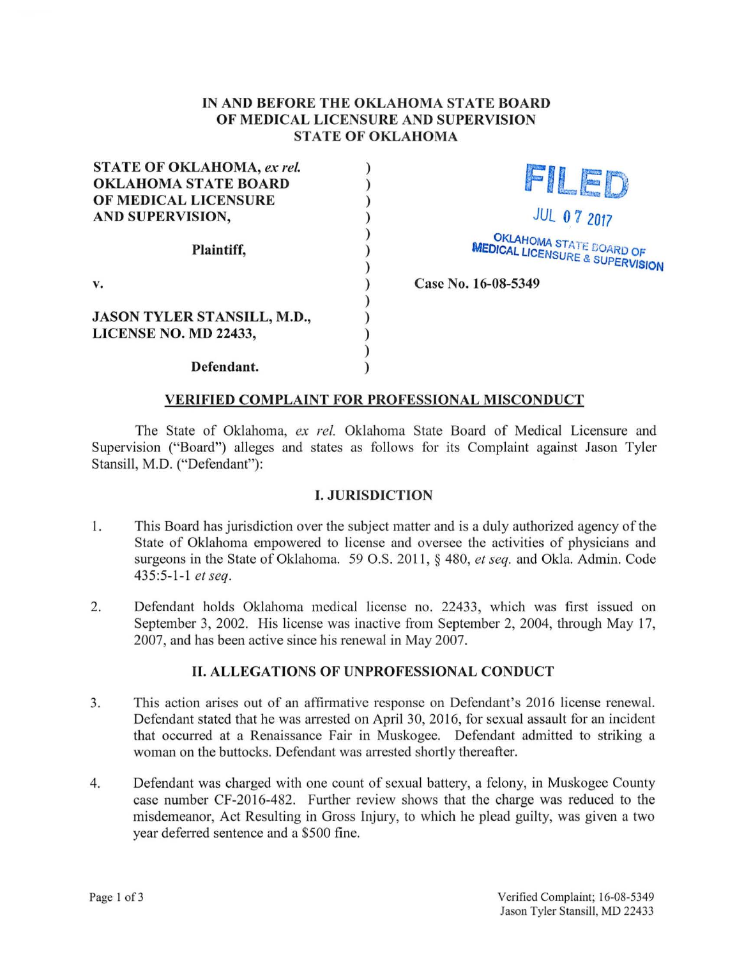### IN AND BEFORE THE OKLAHOMA STATE BOARD OF MEDICAL LICENSURE AND SUPERVISION STATE OF OKLAHOMA

) ) ) ) ) ) ) ) ) ) ) ) )

| <b>STATE OF OKLAHOMA, ex rel.</b> |
|-----------------------------------|
| <b>OKLAHOMA STATE BOARD</b>       |
| OF MEDICAL LICENSURE              |
| AND SUPERVISION,                  |
| Plaintiff,                        |
| v.                                |
| JASON TYLER STANSILL, M.D.,       |
| <b>LICENSE NO. MD 22433,</b>      |
| Defendant.                        |



**Plaintiff,**   $\overrightarrow{O}$  **MEDICAL LICENSURE 8 COARD OF** E & SUPERVISION

Case No. 16-08-5349

# VERIFIED COMPLAINT FOR PROFESSIONAL MISCONDUCT

The State of Oklahoma, ex rel. Oklahoma State Board of Medical Licensure and Supervision ("Board") alleges and states as follows for its Complaint against Jason Tyler Stansill, M.D. ("Defendant"):

#### I. JURISDICTION

- 1. This Board has jurisdiction over the subject matter and is a duly authorized agency of the State of Oklahoma empowered to license and oversee the activities of physicians and surgeons in the State of Oklahoma. 59 O.S. 2011 , § 480, *et seq.* and Okla. Admin. Code 435:5-1-1 *et seq.*
- 2. Defendant holds Oklahoma medical license no. 22433, which was first issued on September 3, 2002. His license was inactive from September 2, 2004, through May 17, 2007, and has been active since his renewal in May 2007.

# II. ALLEGATIONS OF UNPROFESSIONAL CONDUCT

- 3. This action arises out of an affirmative response on Defendant's 2016 license renewal. Defendant stated that he was arrested on April 30, 2016, for sexual assault for an incident that occurred at a Renaissance Fair in Muskogee. Defendant admitted to striking a woman on the buttocks. Defendant was arrested shortly thereafter.
- 4. Defendant was charged with one count of sexual battery, a felony, in Muskogee County case number CF-2016-482. Further review shows that the charge was reduced to the misdemeanor, Act Resulting in Gross Injury, to which he plead guilty, was given a two year deferred sentence and a \$500 fine.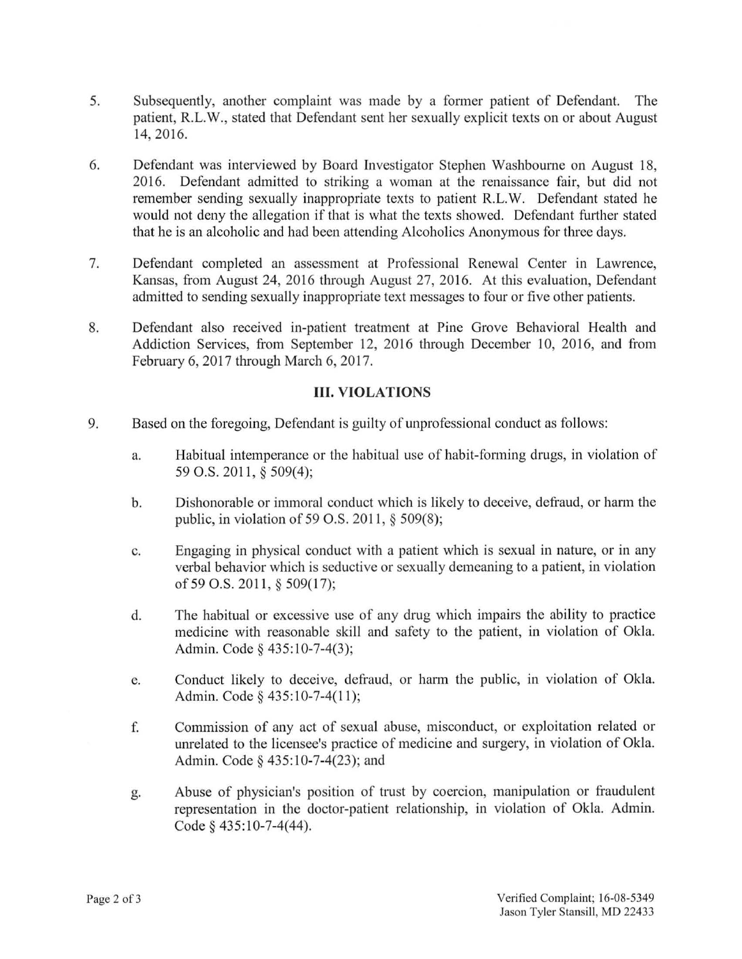- 5. Subsequently, another complaint was made by a former patient of Defendant. The patient, R.L.W., stated that Defendant sent her sexually explicit texts on or about August 14, 2016.
- 6. Defendant was interviewed by Board Investigator Stephen Washbourne on August 18, 2016. Defendant admitted to striking a woman at the renaissance fair, but did not remember sending sexually inappropriate texts to patient R.L.W. Defendant stated he would not deny the allegation if that is what the texts showed. Defendant further stated that he is an alcoholic and had been attending Alcoholics Anonymous for three days.
- 7. Defendant completed an assessment at Professional Renewal Center in Lawrence, Kansas, from August 24, 2016 through August 27, 2016. At this evaluation, Defendant admitted to sending sexually inappropriate text messages to four or five other patients.
- 8. Defendant also received in-patient treatment at Pine Grove Behavioral Health and Addiction Services, from September 12, 2016 through December 10, 2016, and from February 6, 2017 through March 6, 2017.

# **III. VIOLATIONS**

- 9. Based on the foregoing, Defendant is guilty of unprofessional conduct as follows:
	- a. Habitual intemperance or the habitual use of habit-forming drugs, in violation of 59 O.S. 2011 , § 509(4);
	- b. Dishonorable or immoral conduct which is likely to deceive, defraud, or harm the public, in violation of 59 O.S. 2011, § 509(8);
	- c. Engaging in physical conduct with a patient which is sexual in nature, or in any verbal behavior which is seductive or sexually demeaning to a patient, in violation of 59 O.S. 2011, § 509(17);
	- d. The habitual or excessive use of any drug which impairs the ability to practice medicine with reasonable skill and safety to the patient, in violation of Okla. Admin. Code§ 435:10-7-4(3);
	- e. Conduct likely to deceive, defraud, or harm the public, in violation of Okla. Admin. Code § 435:10-7-4(11);
	- f. Commission of any act of sexual abuse, misconduct, or exploitation related or unrelated to the licensee's practice of medicine and surgery, in violation of Okla. Admin. Code § 435:10-7-4(23); and
	- g. Abuse of physician's position of trust by coercion, manipulation or fraudulent representation in the doctor-patient relationship, in violation of Okla. Admin. Code§ 435:10-7-4(44).